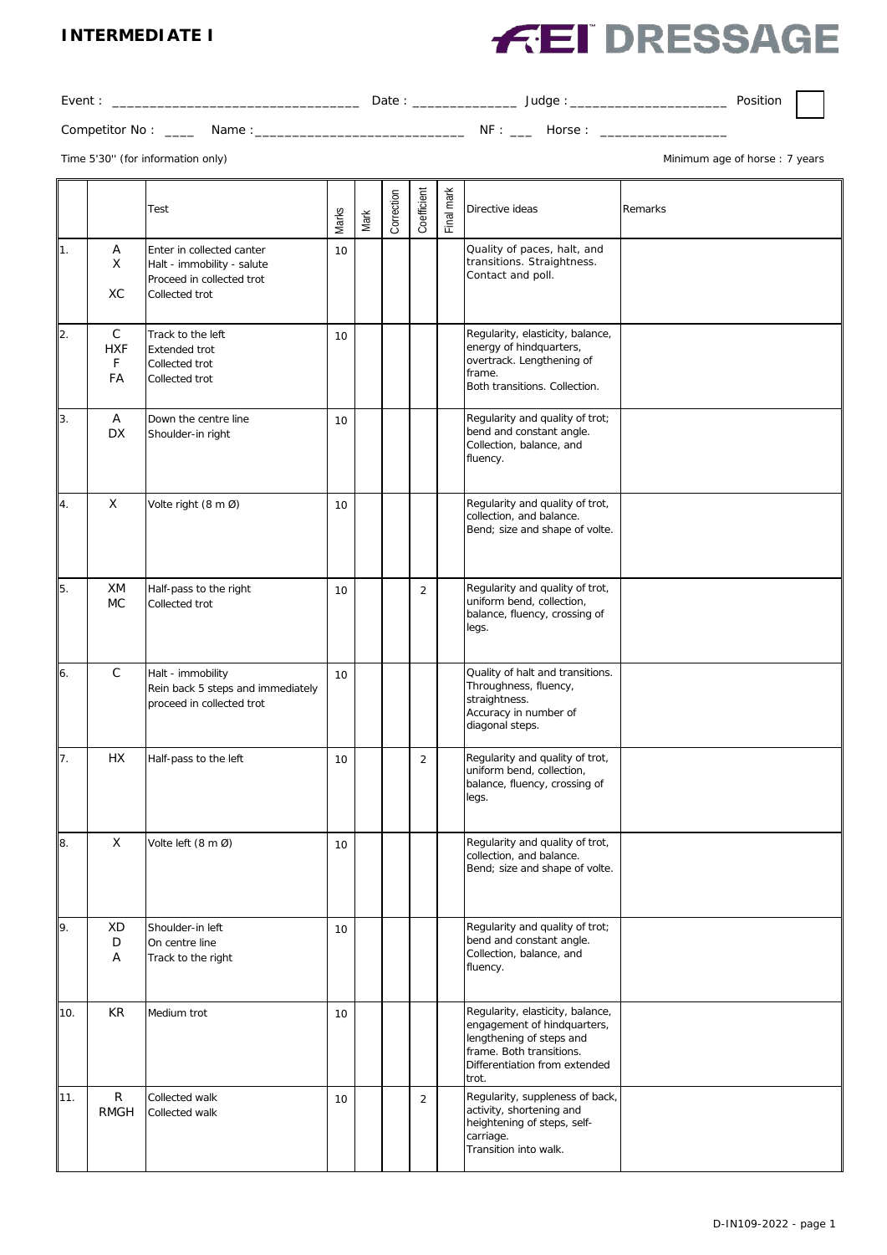#### **INTERMEDIATE I**

# **FEI DRESSAGE**

| Event:              |        | Date : |     | Judge  | Position |  |
|---------------------|--------|--------|-----|--------|----------|--|
| Competitor No: ____ | Name : |        | NF: | Horse: |          |  |

Time 5'30" (for information only) and the state of the state of the state of thorse of horse of horse : 7 years

|     |                                      | Test                                                                                                   | Marks | Mark | Correction | Coefficient    | Final mark | Directive ideas                                                                                                                                                   | Remarks |
|-----|--------------------------------------|--------------------------------------------------------------------------------------------------------|-------|------|------------|----------------|------------|-------------------------------------------------------------------------------------------------------------------------------------------------------------------|---------|
| 11. | Α<br>X<br>XC                         | Enter in collected canter<br>Halt - immobility - salute<br>Proceed in collected trot<br>Collected trot | 10    |      |            |                |            | Quality of paces, halt, and<br>transitions. Straightness.<br>Contact and poll.                                                                                    |         |
| 2.  | $\mathsf C$<br><b>HXF</b><br>F<br>FA | Track to the left<br><b>Extended trot</b><br>Collected trot<br>Collected trot                          | 10    |      |            |                |            | Regularity, elasticity, balance,<br>energy of hindquarters,<br>overtrack. Lengthening of<br>frame.<br>Both transitions. Collection.                               |         |
| 3.  | A<br><b>DX</b>                       | Down the centre line<br>Shoulder-in right                                                              | 10    |      |            |                |            | Regularity and quality of trot;<br>bend and constant angle.<br>Collection, balance, and<br>fluency.                                                               |         |
| 4.  | $\boldsymbol{\mathsf{X}}$            | Volte right (8 m Ø)                                                                                    | 10    |      |            |                |            | Regularity and quality of trot,<br>collection, and balance.<br>Bend; size and shape of volte.                                                                     |         |
| 5.  | XM<br><b>MC</b>                      | Half-pass to the right<br>Collected trot                                                               | 10    |      |            | $\overline{2}$ |            | Regularity and quality of trot,<br>uniform bend, collection,<br>balance, fluency, crossing of<br>legs.                                                            |         |
| 6.  | $\mathsf{C}$                         | Halt - immobility<br>Rein back 5 steps and immediately<br>proceed in collected trot                    | 10    |      |            |                |            | Quality of halt and transitions.<br>Throughness, fluency,<br>straightness.<br>Accuracy in number of<br>diagonal steps.                                            |         |
| 7.  | <b>HX</b>                            | Half-pass to the left                                                                                  | 10    |      |            | $\overline{2}$ |            | Regularity and quality of trot,<br>uniform bend, collection,<br>balance, fluency, crossing of<br>legs.                                                            |         |
| 8.  | Χ                                    | Volte left $(8 \text{ m }\mathcal{O})$                                                                 | 10    |      |            |                |            | Regularity and quality of trot,<br>collection, and balance.<br>Bend; size and shape of volte.                                                                     |         |
| 9.  | <b>XD</b><br>D<br>Α                  | Shoulder-in left<br>On centre line<br>Track to the right                                               | 10    |      |            |                |            | Regularity and quality of trot;<br>bend and constant angle.<br>Collection, balance, and<br>fluency.                                                               |         |
| 10. | <b>KR</b>                            | Medium trot                                                                                            | 10    |      |            |                |            | Regularity, elasticity, balance,<br>engagement of hindquarters,<br>lengthening of steps and<br>frame. Both transitions.<br>Differentiation from extended<br>trot. |         |
| 11. | $\mathsf{R}$<br><b>RMGH</b>          | Collected walk<br>Collected walk                                                                       | 10    |      |            | $\overline{2}$ |            | Regularity, suppleness of back,<br>activity, shortening and<br>heightening of steps, self-<br>carriage.<br>Transition into walk.                                  |         |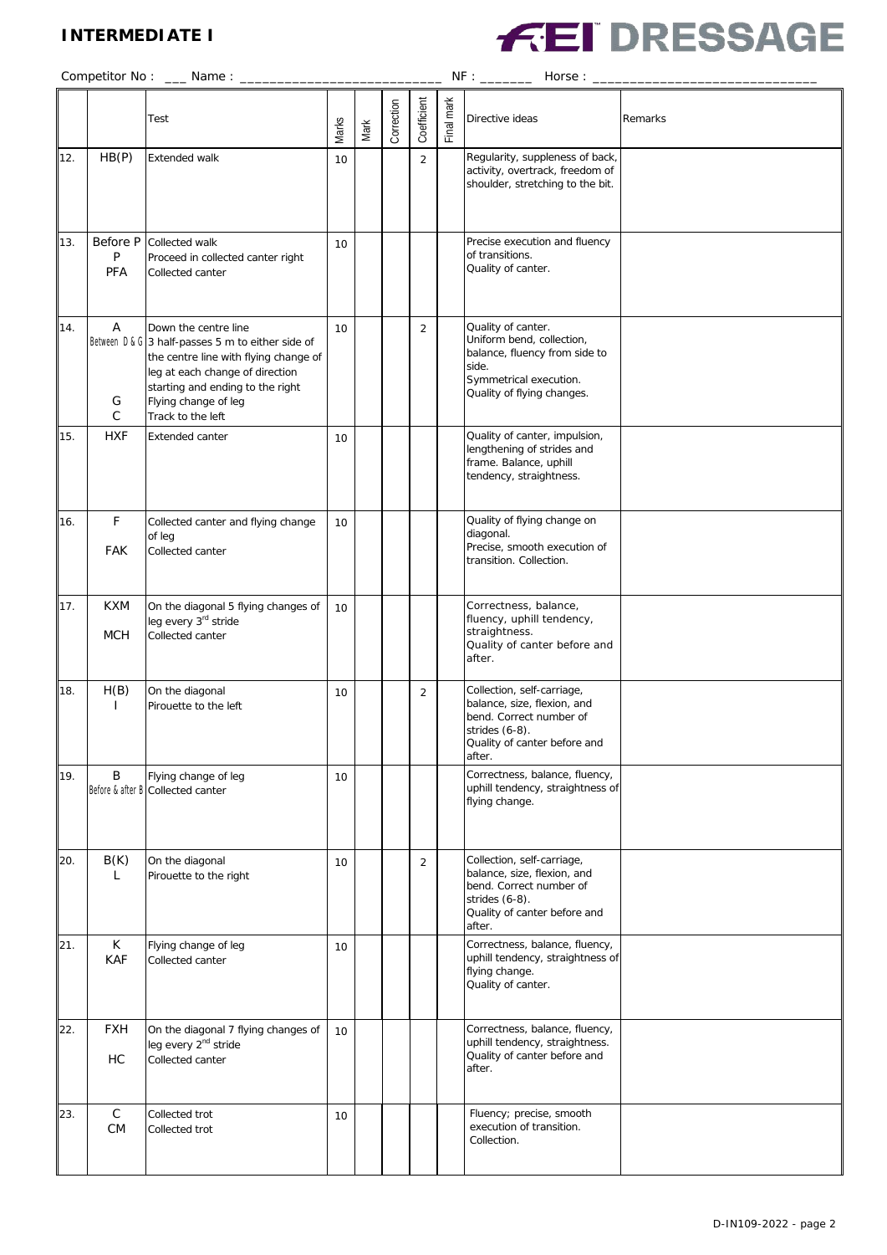## **INTERMEDIATE I**



|     |                          | Test                                                                                                                                                                                                                                   | Marks | Mark | Correction | Coefficient    | Final mark | Directive ideas                                                                                                                                     | Remarks |  |  |  |  |
|-----|--------------------------|----------------------------------------------------------------------------------------------------------------------------------------------------------------------------------------------------------------------------------------|-------|------|------------|----------------|------------|-----------------------------------------------------------------------------------------------------------------------------------------------------|---------|--|--|--|--|
| 12. | HB(P)                    | Extended walk                                                                                                                                                                                                                          | 10    |      |            | $\overline{2}$ |            | Regularity, suppleness of back,<br>activity, overtrack, freedom of<br>shoulder, stretching to the bit.                                              |         |  |  |  |  |
| 13. | Before P<br>P<br>PFA     | Collected walk<br>Proceed in collected canter right<br>Collected canter                                                                                                                                                                | 10    |      |            |                |            | Precise execution and fluency<br>of transitions.<br>Quality of canter.                                                                              |         |  |  |  |  |
| 14. | Α<br>G<br>C              | Down the centre line<br>Between D & G 3 half-passes 5 m to either side of<br>the centre line with flying change of<br>leg at each change of direction<br>starting and ending to the right<br>Flying change of leg<br>Track to the left | 10    |      |            | $\overline{2}$ |            | Quality of canter.<br>Uniform bend, collection,<br>balance, fluency from side to<br>side.<br>Symmetrical execution.<br>Quality of flying changes.   |         |  |  |  |  |
| 15. | <b>HXF</b>               | Extended canter                                                                                                                                                                                                                        | 10    |      |            |                |            | Quality of canter, impulsion,<br>lengthening of strides and<br>frame. Balance, uphill<br>tendency, straightness.                                    |         |  |  |  |  |
| 16. | F<br><b>FAK</b>          | Collected canter and flying change<br>of leg<br>Collected canter                                                                                                                                                                       | 10    |      |            |                |            | Quality of flying change on<br>diagonal.<br>Precise, smooth execution of<br>transition. Collection.                                                 |         |  |  |  |  |
| 17. | <b>KXM</b><br><b>MCH</b> | On the diagonal 5 flying changes of<br>leg every 3rd stride<br>Collected canter                                                                                                                                                        | 10    |      |            |                |            | Correctness, balance,<br>fluency, uphill tendency,<br>straightness.<br>Quality of canter before and<br>after.                                       |         |  |  |  |  |
| 18. | H(B)<br>$\mathbf{I}$     | On the diagonal<br>Pirouette to the left                                                                                                                                                                                               | 10    |      |            | $\overline{2}$ |            | Collection, self-carriage,<br>balance, size, flexion, and<br>bend. Correct number of<br>strides $(6-8)$ .<br>Quality of canter before and<br>after. |         |  |  |  |  |
| 19. | В                        | Flying change of leg<br>Before & after B Collected canter                                                                                                                                                                              | 10    |      |            |                |            | Correctness, balance, fluency,<br>uphill tendency, straightness of<br>flying change.                                                                |         |  |  |  |  |
| 20. | B(K)<br>L                | On the diagonal<br>Pirouette to the right                                                                                                                                                                                              | 10    |      |            | $\overline{2}$ |            | Collection, self-carriage,<br>balance, size, flexion, and<br>bend. Correct number of<br>strides (6-8).<br>Quality of canter before and<br>after.    |         |  |  |  |  |
| 21. | K<br><b>KAF</b>          | Flying change of leg<br>Collected canter                                                                                                                                                                                               | 10    |      |            |                |            | Correctness, balance, fluency,<br>uphill tendency, straightness of<br>flying change.<br>Quality of canter.                                          |         |  |  |  |  |
| 22. | <b>FXH</b><br>HC         | On the diagonal 7 flying changes of<br>leg every 2 <sup>nd</sup> stride<br>Collected canter                                                                                                                                            | 10    |      |            |                |            | Correctness, balance, fluency,<br>uphill tendency, straightness.<br>Quality of canter before and<br>after.                                          |         |  |  |  |  |
| 23. | $\mathsf C$<br>CM        | Collected trot<br>Collected trot                                                                                                                                                                                                       | 10    |      |            |                |            | Fluency; precise, smooth<br>execution of transition.<br>Collection.                                                                                 |         |  |  |  |  |